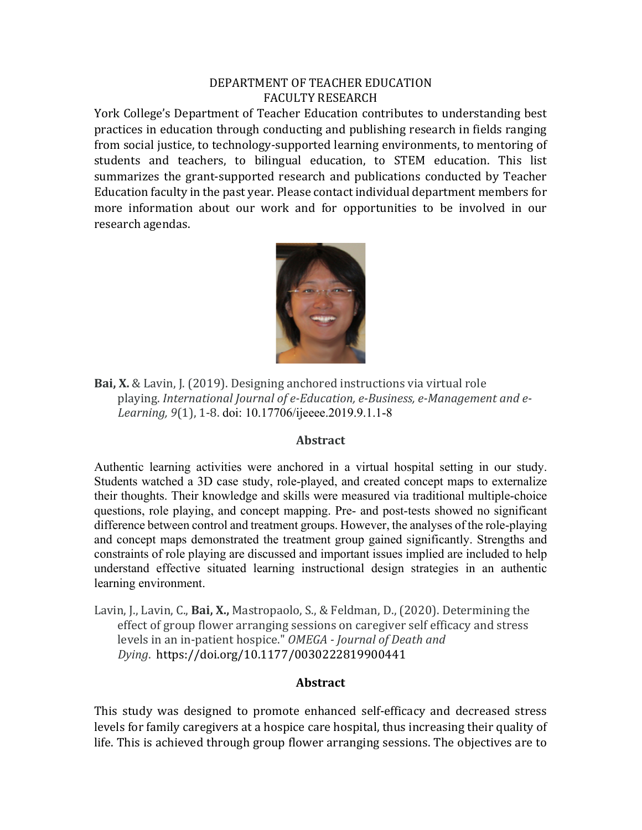### DEPARTMENT OF TEACHER EDUCATION FACULTY RESEARCH

 York College's Department of Teacher Education contributes to understanding best practices in education through conducting and publishing research in fields ranging from social justice, to technology-supported learning environments, to mentoring of students and teachers, to bilingual education, to STEM education. This list summarizes the grant-supported research and publications conducted by Teacher Education faculty in the past year. Please contact individual department members for more information about our work and for opportunities to be involved in our research agendas.



Bai, X. & Lavin, J. (2019). Designing anchored instructions via virtual role  playing. *International Journal of e-Education, e-Business, e-Management and e- Learning, 9*(1), 1-8. doi: 10.17706/ijeeee.2019.9.1.1-8

## **Abstract**

 Authentic learning activities were anchored in a virtual hospital setting in our study. Students watched a 3D case study, role-played, and created concept maps to externalize their thoughts. Their knowledge and skills were measured via traditional multiple-choice difference between control and treatment groups. However, the analyses of the role-playing and concept maps demonstrated the treatment group gained significantly. Strengths and constraints of role playing are discussed and important issues implied are included to help questions, role playing, and concept mapping. Pre- and post-tests showed no significant understand effective situated learning instructional design strategies in an authentic learning environment.

Lavin, J., Lavin, C., Bai, X., Mastropaolo, S., & Feldman, D., (2020). Determining the  levels in an in-patient hospice." *OMEGA - Journal of Death and Dying*. <https://doi.org/10.1177/0030222819900441> effect of group flower arranging sessions on caregiver self efficacy and stress

## **Abstract**

This study was designed to promote enhanced self-efficacy and decreased stress levels for family caregivers at a hospice care hospital, thus increasing their quality of life. This is achieved through group flower arranging sessions. The objectives are to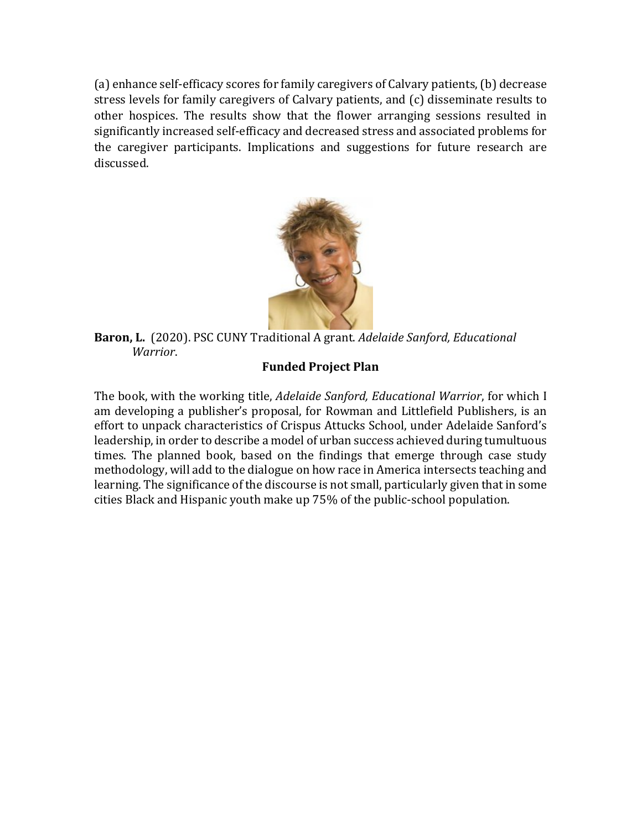(a) enhance self-efficacy scores for family caregivers of Calvary patients, (b) decrease stress levels for family caregivers of Calvary patients, and (c) disseminate results to other hospices. The results show that the flower arranging sessions resulted in significantly increased self-efficacy and decreased stress and associated problems for the caregiver participants. Implications and suggestions for future research are discussed.



Baron, L. (2020). PSC CUNY Traditional A grant. *Adelaide Sanford, Educational Warrior*.

# **Funded Project Plan**

am developing a publisher's proposal, for Rowman and Littlefield Publishers, is an effort to unpack characteristics of Crispus Attucks School, under Adelaide Sanford's leadership, in order to describe a model of urban success achieved during tumultuous times. The planned book, based on the findings that emerge through case study methodology, will add to the dialogue on how race in America intersects teaching and learning. The significance of the discourse is not small, particularly given that in some cities Black and Hispanic youth make up 75% of the public-school population.The book, with the working title, *Adelaide Sanford, Educational Warrior*, for which I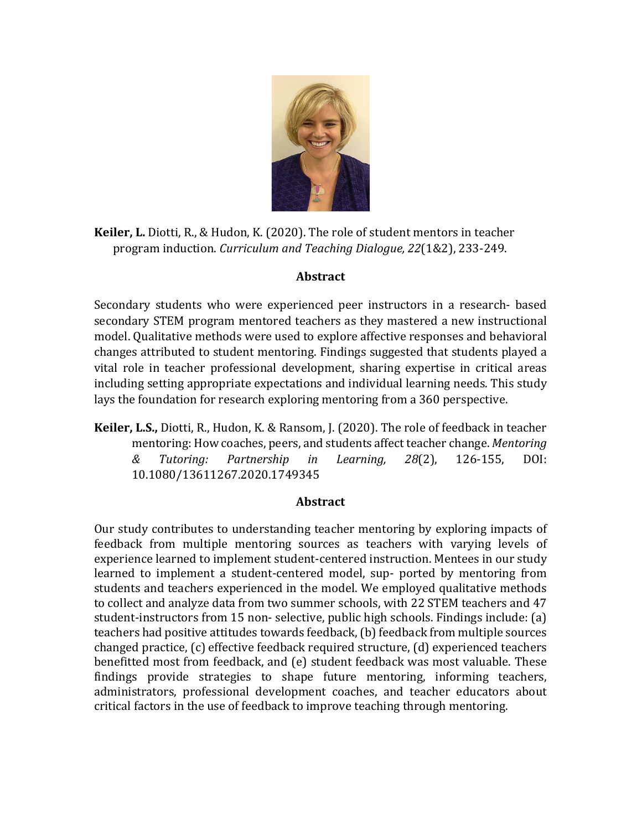

**Keiler, L.** Diotti, R., & Hudon, K. (2020). The role of student mentors in teacher  program induction. *Curriculum and Teaching Dialogue, 22*(1&2), 233-249. 

## **Abstract**

secondary STEM program mentored teachers as they mastered a new instructional model. Qualitative methods were used to explore affective responses and behavioral changes attributed to student mentoring. Findings suggested that students played a vital role in teacher professional development, sharing expertise in critical areas lays the foundation for research exploring mentoring from a 360 perspective. Secondary students who were experienced peer instructors in a research- based including setting appropriate expectations and individual learning needs. This study

**Keiler, L.S.,** Diotti, R., Hudon, K. & Ransom, J. (2020). The role of feedback in teacher mentoring: How coaches, peers, and students affect teacher change. *Mentoring in Learning*, 28(2), *& Tutoring: Partnership in Learning, 28*(2), 126-155, DOI: 10.1080/13611267.2020.1749345

#### **Abstract**

 Our study contributes to understanding teacher mentoring by exploring impacts of feedback from multiple mentoring sources as teachers with varying levels of experience learned to implement student-centered instruction. Mentees in our study learned to implement a student-centered model, sup- ported by mentoring from students and teachers experienced in the model. We employed qualitative methods to collect and analyze data from two summer schools, with 22 STEM teachers and 47 student-instructors from 15 non- selective, public high schools. Findings include: (a) teachers had positive attitudes towards feedback, (b) feedback from multiple sources benefitted most from feedback, and (e) student feedback was most valuable. These findings provide strategies to shape future mentoring, informing teachers, administrators, professional development coaches, and teacher educators about critical factors in the use of feedback to improve teaching through mentoring.changed practice,  $(c)$  effective feedback required structure,  $(d)$  experienced teachers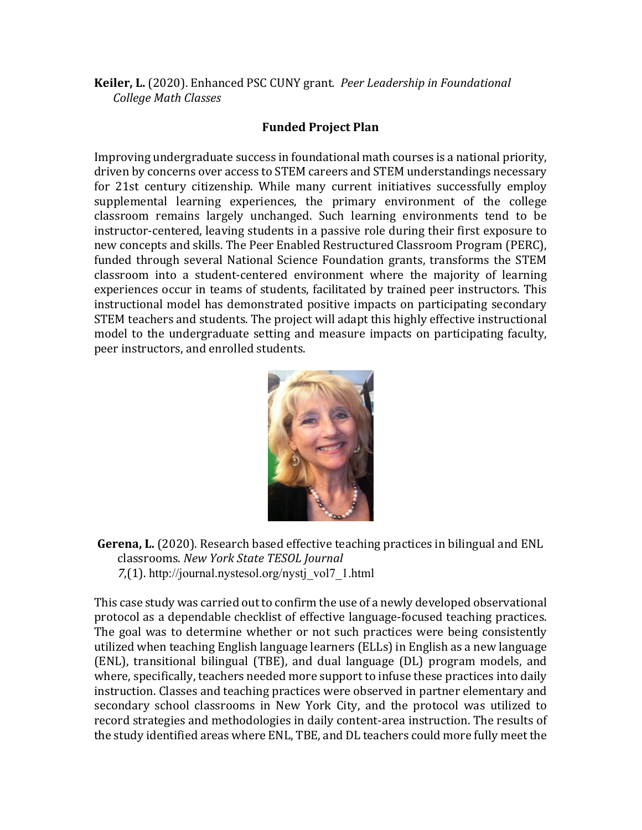**Keiler, L.** (2020). Enhanced PSC CUNY grant*. Peer Leadership in Foundational College Math Classes*

## **Funded Project Plan**

 Improving undergraduate success in foundational math courses is a national priority, for 21st century citizenship. While many current initiatives successfully employ supplemental learning experiences, the primary environment of the college classroom remains largely unchanged. Such learning environments tend to be new concepts and skills. The Peer Enabled Restructured Classroom Program (PERC), funded through several National Science Foundation grants, transforms the STEM classroom into a student-centered environment where the majority of learning experiences occur in teams of students, facilitated by trained peer instructors. This instructional model has demonstrated positive impacts on participating secondary model to the undergraduate setting and measure impacts on participating faculty, driven by concerns over access to STEM careers and STEM understandings necessary instructor-centered, leaving students in a passive role during their first exposure to STEM teachers and students. The project will adapt this highly effective instructional peer instructors, and enrolled students.



**Gerena, L.** (2020). Research based effective teaching practices in bilingual and ENL  classrooms. *New York State TESOL Journal 7*,(1). [http://journal.nystesol.org/nystj\\_vol7\\_1.html](http://journal.nystesol.org/nystj_vol7_1.html)

This case study was carried out to confirm the use of a newly developed observational The goal was to determine whether or not such practices were being consistently (ENL), transitional bilingual (TBE), and dual language (DL) program models, and where, specifically, teachers needed more support to infuse these practices into daily instruction. Classes and teaching practices were observed in partner elementary and secondary school classrooms in New York City, and the protocol was utilized to record strategies and methodologies in daily content-area instruction. The results of the study identified areas where ENL, TBE, and DL teachers could more fully meet theprotocol as a dependable checklist of effective language-focused teaching practices. utilized when teaching English language learners (ELLs) in English as a new language